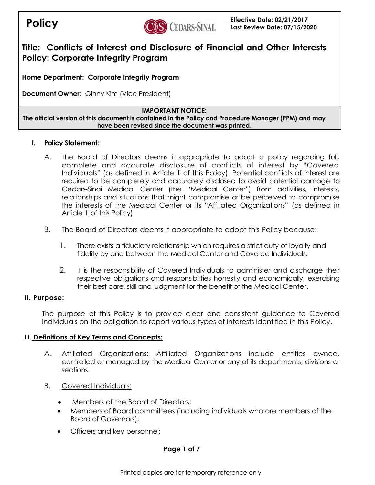

**Home Department: Corporate Integrity Program**

**Document Owner:** Ginny Kim (Vice President)

### **IMPORTANT NOTICE:**

**The official version of this document is contained in the Policy and Procedure Manager (PPM) and may have been revised since the document was printed.**

### **I. Policy Statement:**

- A. The Board of Directors deems it appropriate to adopt a policy regarding full, complete and accurate disclosure of conflicts of interest by "Covered Individuals" (as defined in Article III of this Policy). Potential conflicts of interest are required to be completely and accurately disclosed to avoid potential damage to Cedars-Sinai Medical Center (the "Medical Center") from activities, interests, relationships and situations that might compromise or be perceived to compromise the interests of the Medical Center or its "Affiliated Organizations" (as defined in Article III of this Policy).
- B. The Board of Directors deems it appropriate to adopt this Policy because:
	- 1. There exists a fiduciary relationship which requires a strict duty of loyalty and fidelity by and between the Medical Center and Covered Individuals.
	- 2. It is the responsibility of Covered Individuals to administer and discharge their respective obligations and responsibilities honestly and economically, exercising their best care, skill and judgment for the benefit of the Medical Center.

# **II. Purpose:**

The purpose of this Policy is to provide clear and consistent guidance to Covered Individuals on the obligation to report various types of interests identified in this Policy.

#### **III. Definitions of Key Terms and Concepts:**

- A. Affiliated Organizations: Affiliated Organizations include entities owned, controlled or managed by the Medical Center or any of its departments, divisions or sections.
- B. Covered Individuals:
	- Members of the Board of Directors;
	- Members of Board committees (including individuals who are members of the Board of Governors);
	- Officers and key personnel;

# **Page 1 of 7**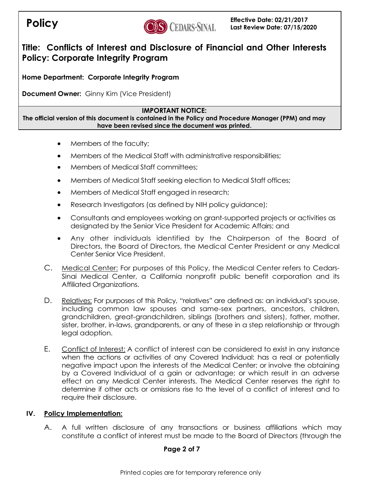

**Home Department: Corporate Integrity Program**

**Document Owner:** Ginny Kim (Vice President)

### **IMPORTANT NOTICE:**

**The official version of this document is contained in the Policy and Procedure Manager (PPM) and may have been revised since the document was printed.**

- Members of the faculty;
- Members of the Medical Staff with administrative responsibilities;
- Members of Medical Staff committees:
- Members of Medical Staff seeking election to Medical Staff offices;
- Members of Medical Staff engaged in research;
- Research Investigators (as defined by NIH policy guidance);
- Consultants and employees working on grant-supported projects or activities as designated by the Senior Vice President for Academic Affairs; and
- Any other individuals identified by the Chairperson of the Board of Directors, the Board of Directors, the Medical Center President or any Medical Center Senior Vice President.
- C. Medical Center: For purposes of this Policy, the Medical Center refers to Cedars-Sinai Medical Center, a California nonprofit public benefit corporation and its Affiliated Organizations.
- D. Relatives: For purposes of this Policy, "relatives" are defined as: an individual's spouse, including common law spouses and same-sex partners, ancestors, children, grandchildren, great-grandchildren, siblings (brothers and sisters), father, mother, sister, brother, in-laws, grandparents, or any of these in a step relationship or through legal adoption.
- E. Conflict of Interest: A conflict of interest can be considered to exist in any instance when the actions or activities of any Covered Individual: has a real or potentially negative impact upon the interests of the Medical Center; or involve the obtaining by a Covered Individual of a gain or advantage; or which result in an adverse effect on any Medical Center interests. The Medical Center reserves the right to determine if other acts or omissions rise to the level of a conflict of interest and to require their disclosure.

# **IV. Policy Implementation:**

A. A full written disclosure of any transactions or business affiliations which may constitute a conflict of interest must be made to the Board of Directors (through the

# **Page 2 of 7**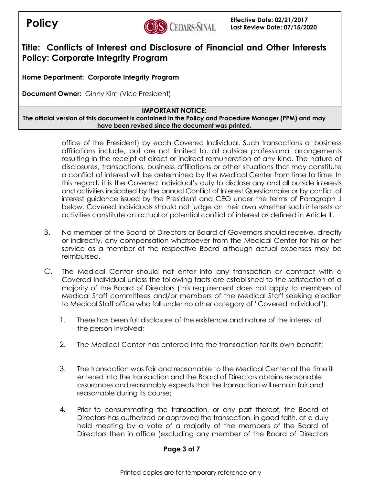

**Home Department: Corporate Integrity Program**

**Document Owner:** Ginny Kim (Vice President)

### **IMPORTANT NOTICE:**

**The official version of this document is contained in the Policy and Procedure Manager (PPM) and may have been revised since the document was printed.**

> office of the President) by each Covered Individual. Such transactions or business affiliations include, but are not limited to, all outside professional arrangements resulting in the receipt of direct or indirect remuneration of any kind. The nature of disclosures, transactions, business affiliations or other situations that may constitute a conflict of interest will be determined by the Medical Center from time to time. In this regard, it is the Covered Individual's duty to disclose any and all outside interests and activities indicated by the annual Conflict of Interest Questionnaire or by conflict of interest guidance issued by the President and CEO under the terms of Paragraph J below. Covered Individuals should not judge on their own whether such interests or activities constitute an actual or potential conflict of interest as defined in Article III.

- B. No member of the Board of Directors or Board of Governors should receive, directly or indirectly, any compensation whatsoever from the Medical Center for his or her service as a member of the respective Board although actual expenses may be reimbursed.
- C. The Medical Center should not enter into any transaction or contract with a Covered Individual unless the following facts are established to the satisfaction of a majority of the Board of Directors (this requirement does not apply to members of Medical Staff committees and/or members of the Medical Staff seeking election to Medical Staff office who fall under no other category of "Covered Individual"):
	- 1. There has been full disclosure of the existence and nature of the interest of the person involved;
	- 2. The Medical Center has entered into the transaction for its own benefit;
	- 3. The transaction was fair and reasonable to the Medical Center at the time it entered into the transaction and the Board of Directors obtains reasonable assurances and reasonably expects that the transaction will remain fair and reasonable during its course;
	- 4. Prior to consummating the transaction, or any part thereof, the Board of Directors has authorized or approved the transaction, in good faith, at a duly held meeting by a vote of a majority of the members of the Board of Directors then in office (excluding any member of the Board of Directors

# **Page 3 of 7**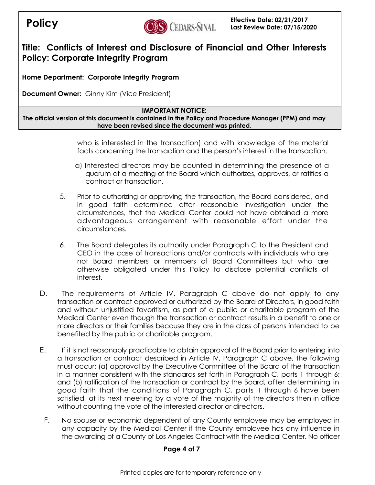

**Home Department: Corporate Integrity Program**

**Document Owner:** Ginny Kim (Vice President)

#### **IMPORTANT NOTICE:**

**The official version of this document is contained in the Policy and Procedure Manager (PPM) and may have been revised since the document was printed.**

> who is interested in the transaction) and with knowledge of the material facts concerning the transaction and the person's interest in the transaction.

- a) Interested directors may be counted in determining the presence of a quorum at a meeting of the Board which authorizes, approves, or ratifies a contract or transaction.
- 5. Prior to authorizing or approving the transaction, the Board considered, and in good faith determined after reasonable investigation under the circumstances, that the Medical Center could not have obtained a more advantageous arrangement with reasonable effort under the circumstances.
- 6. The Board delegates its authority under Paragraph C to the President and CEO in the case of transactions and/or contracts with individuals who are not Board members or members of Board Committees but who are otherwise obligated under this Policy to disclose potential conflicts of interest.
- D. The requirements of Article IV, Paragraph C above do not apply to any transaction or contract approved or authorized by the Board of Directors, in good faith and without unjustified favoritism, as part of a public or charitable program of the Medical Center even though the transaction or contract results in a benefit to one or more directors or their families because they are in the class of persons intended to be benefited by the public or charitable program.
- E. If it is not reasonably practicable to obtain approval of the Board prior to entering into a transaction or contract described in Article IV, Paragraph C above, the following must occur: (a) approval by the Executive Committee of the Board of the transaction in a manner consistent with the standards set forth in Paragraph C, parts 1 through 6; and (b) ratification of the transaction or contract by the Board, after determining in good faith that the conditions of Paragraph C, parts 1 through 6 have been satisfied, at its next meeting by a vote of the majority of the directors then in office without counting the vote of the interested director or directors.
	- F. No spouse or economic dependent of any County employee may be employed in any capacity by the Medical Center if the County employee has any influence in the awarding of a County of Los Angeles Contract with the Medical Center. No officer

#### **Page 4 of 7**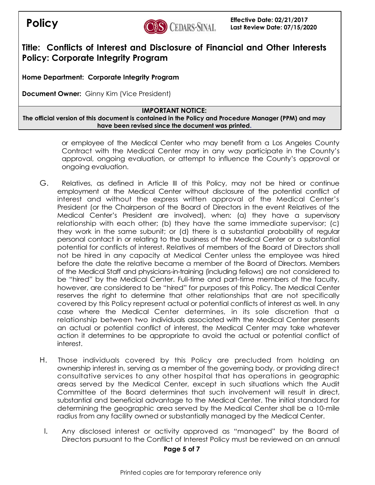

**Home Department: Corporate Integrity Program**

**Document Owner:** Ginny Kim (Vice President)

### **IMPORTANT NOTICE:**

**The official version of this document is contained in the Policy and Procedure Manager (PPM) and may have been revised since the document was printed.**

> or employee of the Medical Center who may benefit from a Los Angeles County Contract with the Medical Center may in any way participate in the County's approval, ongoing evaluation, or attempt to influence the County's approval or ongoing evaluation.

- G. Relatives, as defined in Article III of this Policy, may not be hired or continue employment at the Medical Center without disclosure of the potential conflict of interest and without the express written approval of the Medical Center's President (or the Chairperson of the Board of Directors in the event Relatives of the Medical Center's President are involved), when: (a) they have a supervisory relationship with each other; (b) they have the same immediate supervisor; (c) they work in the same subunit; or (d) there is a substantial probability of regular personal contact in or relating to the business of the Medical Center or a substantial potential for conflicts of interest. Relatives of members of the Board of Directors shall not be hired in any capacity at Medical Center unless the employee was hired before the date the relative became a member of the Board of Directors. Members of the Medical Staff and physicians-in-training (including fellows) are not considered to be "hired" by the Medical Center. Full-time and part-time members of the faculty, however, are considered to be "hired" for purposes of this Policy. The Medical Center reserves the right to determine that other relationships that are not specifically covered by this Policy represent actual or potential conflicts of interest as well. In any case where the Medical Center determines, in its sole discretion that a relationship between two individuals associated with the Medical Center presents an actual or potential conflict of interest, the Medical Center may take whatever action it determines to be appropriate to avoid the actual or potential conflict of interest.
- H. Those individuals covered by this Policy are precluded from holding an ownership interest in, serving as a member of the governing body, or providing direct consultative services to any other hospital that has operations in geographic areas served by the Medical Center, except in such situations which the Audit Committee of the Board determines that such involvement will result in direct, substantial and beneficial advantage to the Medical Center. The initial standard for determining the geographic area served by the Medical Center shall be a 10-mile radius from any facility owned or substantially managed by the Medical Center.
	- I. Any disclosed interest or activity approved as "managed" by the Board of Directors pursuant to the Conflict of Interest Policy must be reviewed on an annual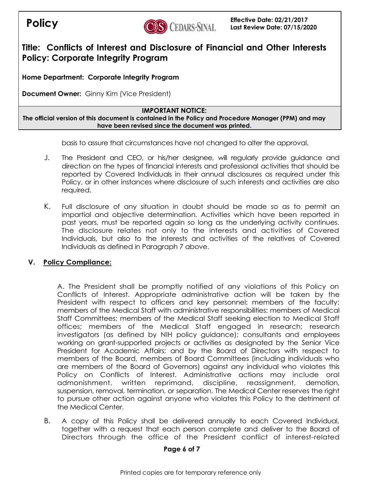

**Home Department: Corporate Integrity Program**

**Document Owner:** Ginny Kim (Vice President)

### **IMPORTANT NOTICE:**

**The official version of this document is contained in the Policy and Procedure Manager (PPM) and may have been revised since the document was printed.**

basis to assure that circumstances have not changed to alter the approval.

- J. The President and CEO, or his/her designee, will regularly provide guidance and direction on the types of financial interests and professional activities that should be reported by Covered Individuals in their annual disclosures as required under this Policy, or in other instances where disclosure of such interests and activities are also required.
- K. Full disclosure of any situation in doubt should be made so as to permit an impartial and objective determination. Activities which have been reported in past years, must be reported again so long as the underlying activity continues. The disclosure relates not only to the interests and activities of Covered Individuals, but also to the interests and activities of the relatives of Covered Individuals as defined in Paragraph 7 above.

# **V. Policy Compliance:**

A. The President shall be promptly notified of any violations of this Policy on Conflicts of Interest. Appropriate administrative action will be taken by the President with respect to officers and key personnel; members of the faculty; members of the Medical Staff with administrative responsibilities; members of Medical Staff Committees; members of the Medical Staff seeking election to Medical Staff offices; members of the Medical Staff engaged in research; research investigators (as defined by NIH policy guidance); consultants and employees working on grant-supported projects or activities as designated by the Senior Vice President for Academic Affairs; and by the Board of Directors with respect to members of the Board, members of Board Committees (including individuals who are members of the Board of Governors) against any individual who violates this Policy on Conflicts of Interest. Administrative actions may include oral admonishment, written reprimand, discipline, reassignment, demotion, suspension, removal, termination, or separation. The Medical Center reserves the right to pursue other action against anyone who violates this Policy to the detriment of the Medical Center.

B. A copy of this Policy shall be delivered annually to each Covered Individual, together with a request that each person complete and deliver to the Board of Directors through the office of the President conflict of interest-related

#### **Page 6 of 7**